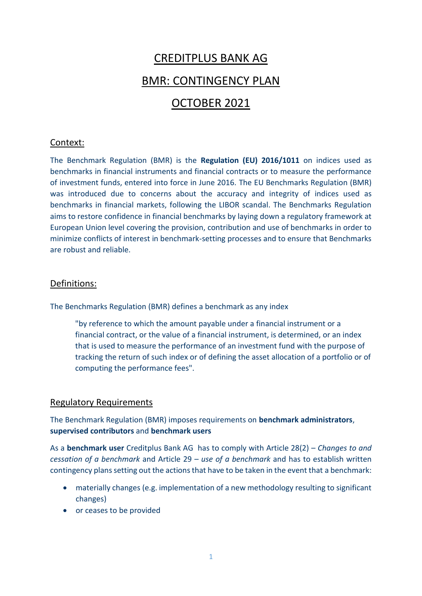# CREDITPLUS BANK AG

### BMR: CONTINGENCY PLAN

## OCTOBER 2021

#### Context:

The Benchmark Regulation (BMR) is the **Regulation (EU) 2016/1011** on indices used as benchmarks in financial instruments and financial contracts or to measure the performance of investment funds, entered into force in June 2016. The EU Benchmarks Regulation (BMR) was introduced due to concerns about the accuracy and integrity of indices used as benchmarks in financial markets, following the LIBOR scandal. The Benchmarks Regulation aims to restore confidence in financial benchmarks by laying down a regulatory framework at European Union level covering the provision, contribution and use of benchmarks in order to minimize conflicts of interest in benchmark-setting processes and to ensure that Benchmarks are robust and reliable.

#### Definitions:

The Benchmarks Regulation (BMR) defines a benchmark as any index

"by reference to which the amount payable under a financial instrument or a financial contract, or the value of a financial instrument, is determined, or an index that is used to measure the performance of an investment fund with the purpose of tracking the return of such index or of defining the asset allocation of a portfolio or of computing the performance fees".

#### Regulatory Requirements

The Benchmark Regulation (BMR) imposes requirements on **benchmark administrators**, **supervised contributors** and **benchmark users**

As a **benchmark user** Creditplus Bank AG has to comply with Article 28(2) – *Changes to and cessation of a benchmark* and Article 29 – *use of a benchmark* and has to establish written contingency plans setting out the actions that have to be taken in the event that a benchmark:

- materially changes (e.g. implementation of a new methodology resulting to significant changes)
- or ceases to be provided